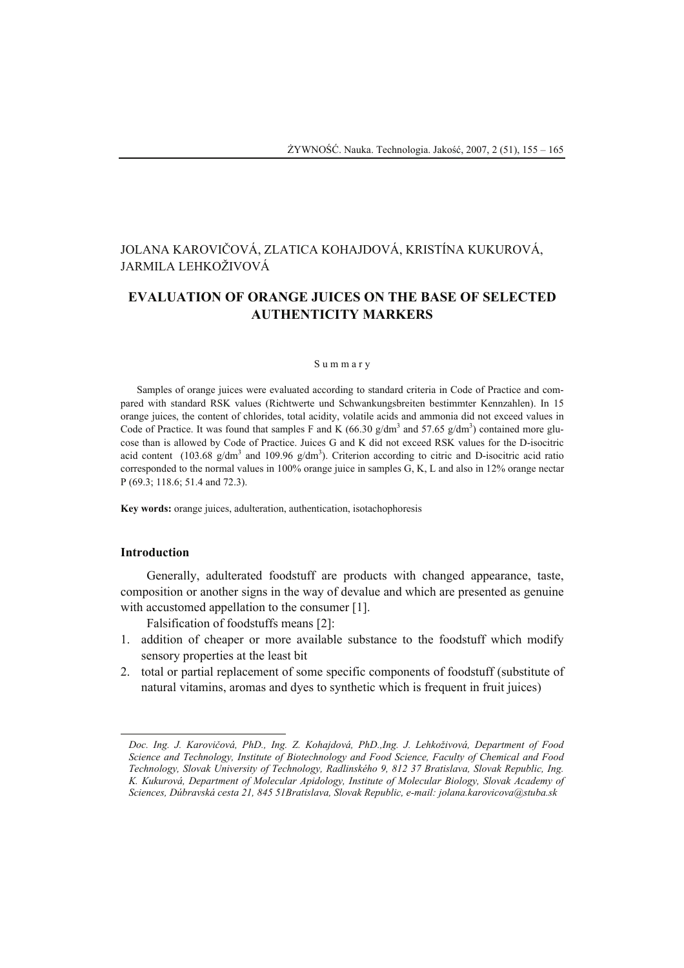# JOLANA KAROVIČOVÁ, ZLATICA KOHAJDOVÁ, KRISTÍNA KUKUROVÁ, JARMILA LEHKOŽIVOVÁ

# **EVALUATION OF ORANGE JUICES ON THE BASE OF SELECTED AUTHENTICITY MARKERS**

#### S u m m a r y

Samples of orange juices were evaluated according to standard criteria in Code of Practice and compared with standard RSK values (Richtwerte und Schwankungsbreiten bestimmter Kennzahlen). In 15 orange juices, the content of chlorides, total acidity, volatile acids and ammonia did not exceed values in Code of Practice. It was found that samples F and K  $(66.30 \text{ g/dm}^3 \text{ and } 57.65 \text{ g/dm}^3)$  contained more glucose than is allowed by Code of Practice. Juices G and K did not exceed RSK values for the D-isocitric acid content (103.68  $g/dm<sup>3</sup>$  and 109.96  $g/dm<sup>3</sup>$ ). Criterion according to citric and D-isocitric acid ratio corresponded to the normal values in 100% orange juice in samples G, K, L and also in 12% orange nectar P (69.3; 118.6; 51.4 and 72.3).

**Key words:** orange juices, adulteration, authentication, isotachophoresis

## **Introduction**

l

Generally, adulterated foodstuff are products with changed appearance, taste, composition or another signs in the way of devalue and which are presented as genuine with accustomed appellation to the consumer [1].

Falsification of foodstuffs means [2]:

- 1. addition of cheaper or more available substance to the foodstuff which modify sensory properties at the least bit
- 2. total or partial replacement of some specific components of foodstuff (substitute of natural vitamins, aromas and dyes to synthetic which is frequent in fruit juices)

*Doc. Ing. J. Karovičová, PhD., Ing. Z. Kohajdová, PhD.,Ing. J. Lehkoživová, Department of Food Science and Technology, Institute of Biotechnology and Food Science, Faculty of Chemical and Food Technology, Slovak University of Technology, Radlinského 9, 812 37 Bratislava, Slovak Republic, Ing. K. Kukurová, Department of Molecular Apidology, Institute of Molecular Biology, Slovak Academy of Sciences, Dúbravská cesta 21, 845 51Bratislava, Slovak Republic, e-mail: jolana.karovicova@stuba.sk*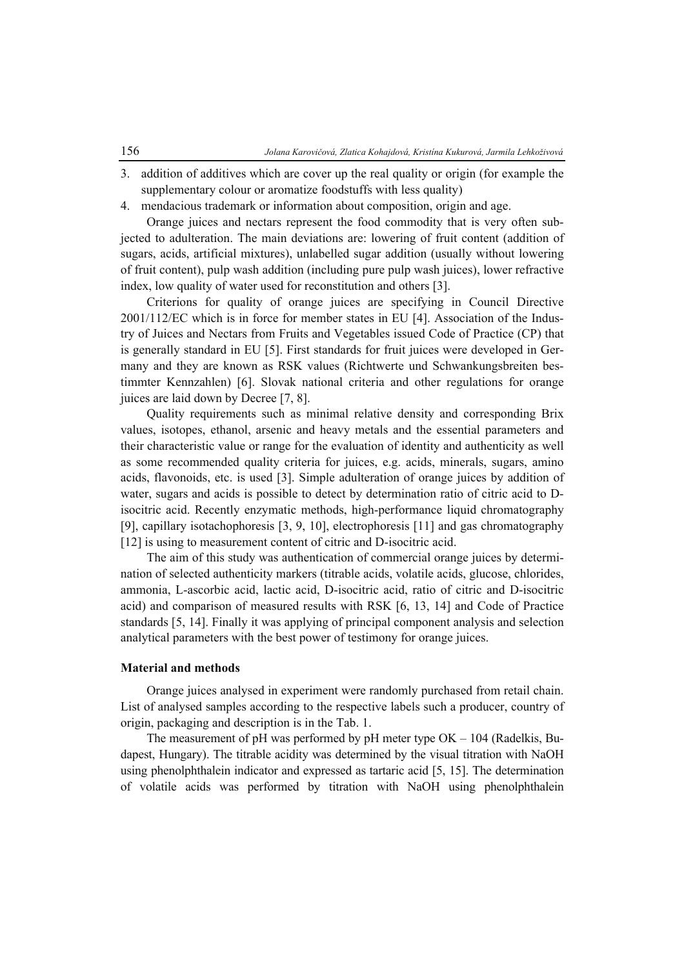- 3. addition of additives which are cover up the real quality or origin (for example the supplementary colour or aromatize foodstuffs with less quality)
- 4. mendacious trademark or information about composition, origin and age.

Orange juices and nectars represent the food commodity that is very often subjected to adulteration. The main deviations are: lowering of fruit content (addition of sugars, acids, artificial mixtures), unlabelled sugar addition (usually without lowering of fruit content), pulp wash addition (including pure pulp wash juices), lower refractive index, low quality of water used for reconstitution and others [3].

Criterions for quality of orange juices are specifying in Council Directive 2001/112/EC which is in force for member states in EU [4]. Association of the Industry of Juices and Nectars from Fruits and Vegetables issued Code of Practice (CP) that is generally standard in EU [5]. First standards for fruit juices were developed in Germany and they are known as RSK values (Richtwerte und Schwankungsbreiten bestimmter Kennzahlen) [6]. Slovak national criteria and other regulations for orange juices are laid down by Decree [7, 8].

Quality requirements such as minimal relative density and corresponding Brix values, isotopes, ethanol, arsenic and heavy metals and the essential parameters and their characteristic value or range for the evaluation of identity and authenticity as well as some recommended quality criteria for juices, e.g. acids, minerals, sugars, amino acids, flavonoids, etc. is used [3]. Simple adulteration of orange juices by addition of water, sugars and acids is possible to detect by determination ratio of citric acid to Disocitric acid. Recently enzymatic methods, high-performance liquid chromatography [9], capillary isotachophoresis [3, 9, 10], electrophoresis [11] and gas chromatography [12] is using to measurement content of citric and D-isocitric acid.

The aim of this study was authentication of commercial orange juices by determination of selected authenticity markers (titrable acids, volatile acids, glucose, chlorides, ammonia, L-ascorbic acid, lactic acid, D-isocitric acid, ratio of citric and D-isocitric acid) and comparison of measured results with RSK [6, 13, 14] and Code of Practice standards [5, 14]. Finally it was applying of principal component analysis and selection analytical parameters with the best power of testimony for orange juices.

### **Material and methods**

Orange juices analysed in experiment were randomly purchased from retail chain. List of analysed samples according to the respective labels such a producer, country of origin, packaging and description is in the Tab. 1.

The measurement of pH was performed by pH meter type OK – 104 (Radelkis, Budapest, Hungary). The titrable acidity was determined by the visual titration with NaOH using phenolphthalein indicator and expressed as tartaric acid [5, 15]. The determination of volatile acids was performed by titration with NaOH using phenolphthalein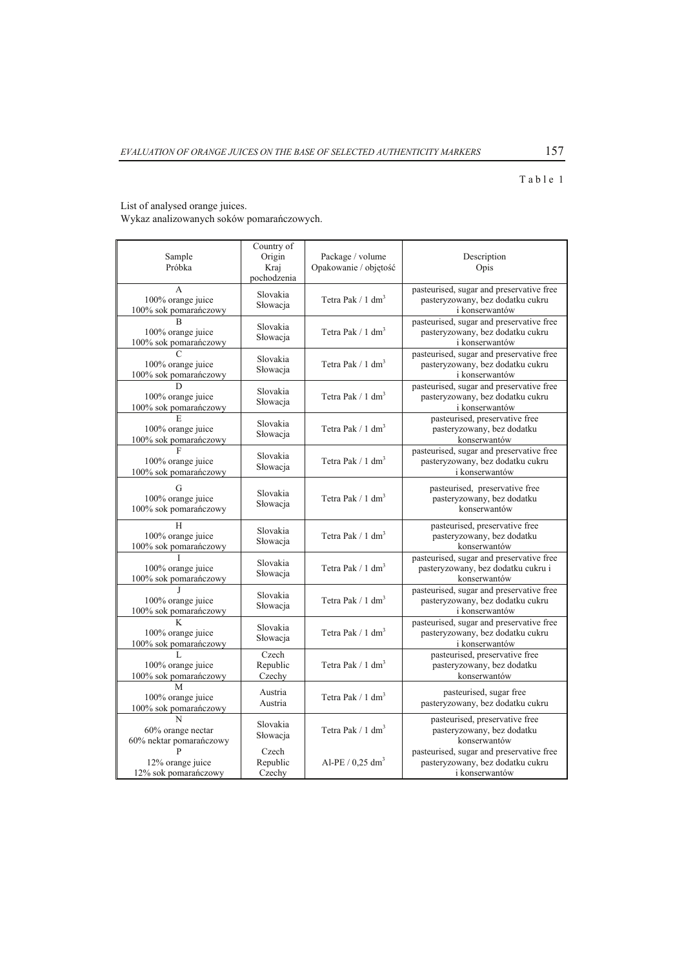# $T$  a b l e  $1$

List of analysed orange juices.

Wykaz analizowanych soków pomarańczowych.

| Sample<br>Próbka                                                      | Country of<br>Origin<br>Kraj<br>pochodzenia | Package / volume<br>Opakowanie / objętość | Description<br>Opis                                                                            |  |
|-----------------------------------------------------------------------|---------------------------------------------|-------------------------------------------|------------------------------------------------------------------------------------------------|--|
| A<br>100% orange juice<br>100% sok pomarańczowy                       | Slovakia<br>Słowacja                        | Tetra Pak $/ 1$ dm <sup>3</sup>           | pasteurised, sugar and preservative free<br>pasteryzowany, bez dodatku cukru<br>i konserwantów |  |
| $\overline{\mathbf{R}}$<br>100% orange juice<br>100% sok pomarańczowy | Slovakia<br>Słowacja                        | Tetra Pak $/ 1$ dm <sup>3</sup>           | pasteurised, sugar and preservative free<br>pasteryzowany, bez dodatku cukru<br>i konserwantów |  |
| 100% orange juice<br>100% sok pomarańczowy                            | Slovakia<br>Słowacja                        | Tetra Pak $/ 1$ dm <sup>3</sup>           | pasteurised, sugar and preservative free<br>pasteryzowany, bez dodatku cukru<br>i konserwantów |  |
| D<br>100% orange juice<br>100% sok pomarańczowy                       | Slovakia<br>Słowacja                        | Tetra Pak / $1 \text{ dm}^3$              | pasteurised, sugar and preservative free<br>pasteryzowany, bez dodatku cukru<br>i konserwantów |  |
| Ē.<br>100% orange juice<br>100% sok pomarańczowy                      | Slovakia<br>Słowacja                        | Tetra Pak $/ 1$ dm <sup>3</sup>           | pasteurised, preservative free<br>pasteryzowany, bez dodatku<br>konserwantów                   |  |
| 100% orange juice<br>100% sok pomarańczowy                            | Slovakia<br>Słowacja                        | Tetra Pak $/ 1$ dm <sup>3</sup>           | pasteurised, sugar and preservative free<br>pasteryzowany, bez dodatku cukru<br>i konserwantów |  |
| G<br>100% orange juice<br>100% sok pomarańczowy                       | Slovakia<br>Słowacja                        | Tetra Pak $/ 1$ dm <sup>3</sup>           | pasteurised, preservative free<br>pasteryzowany, bez dodatku<br>konserwantów                   |  |
| H<br>100% orange juice<br>100% sok pomarańczowy                       | Slovakia<br>Słowacja                        | Tetra Pak $/ 1$ dm <sup>3</sup>           | pasteurised, preservative free<br>pasteryzowany, bez dodatku<br>konserwantów                   |  |
| 100% orange juice<br>100% sok pomarańczowy                            | Slovakia<br>Słowacja                        | Tetra Pak $/ 1$ dm <sup>3</sup>           | pasteurised, sugar and preservative free<br>pasteryzowany, bez dodatku cukru i<br>konserwantów |  |
| 100% orange juice<br>100% sok pomarańczowy                            | Slovakia<br>Słowacja                        | Tetra Pak $/ 1$ dm <sup>3</sup>           | pasteurised, sugar and preservative free<br>pasteryzowany, bez dodatku cukru<br>i konserwantów |  |
| K<br>100% orange juice<br>100% sok pomarańczowy                       | Slovakia<br>Słowacja                        | Tetra Pak $/ 1$ dm <sup>3</sup>           | pasteurised, sugar and preservative free<br>pasteryzowany, bez dodatku cukru<br>i konserwantów |  |
| 100% orange juice<br>100% sok pomarańczowy                            | Czech<br>Republic<br>Czechy                 | Tetra Pak $/ 1$ dm <sup>3</sup>           | pasteurised, preservative free<br>pasteryzowany, bez dodatku<br>konserwantów                   |  |
| M<br>100% orange juice<br>100% sok pomarańczowy                       | Austria<br>Austria                          | Tetra Pak $/ 1$ dm <sup>3</sup>           | pasteurised, sugar free<br>pasteryzowany, bez dodatku cukru                                    |  |
| N<br>60% orange nectar<br>60% nektar pomarańczowy                     | Slovakia<br>Słowacja                        | Tetra Pak $/ 1$ dm <sup>3</sup>           | pasteurised, preservative free<br>pasteryzowany, bez dodatku<br>konserwantów                   |  |
| 12% orange juice<br>12% sok pomarańczowy                              | Czech<br>Republic<br>Czechy                 | Al-PE / $0.25$ dm <sup>3</sup>            | pasteurised, sugar and preservative free<br>pasteryzowany, bez dodatku cukru<br>i konserwantów |  |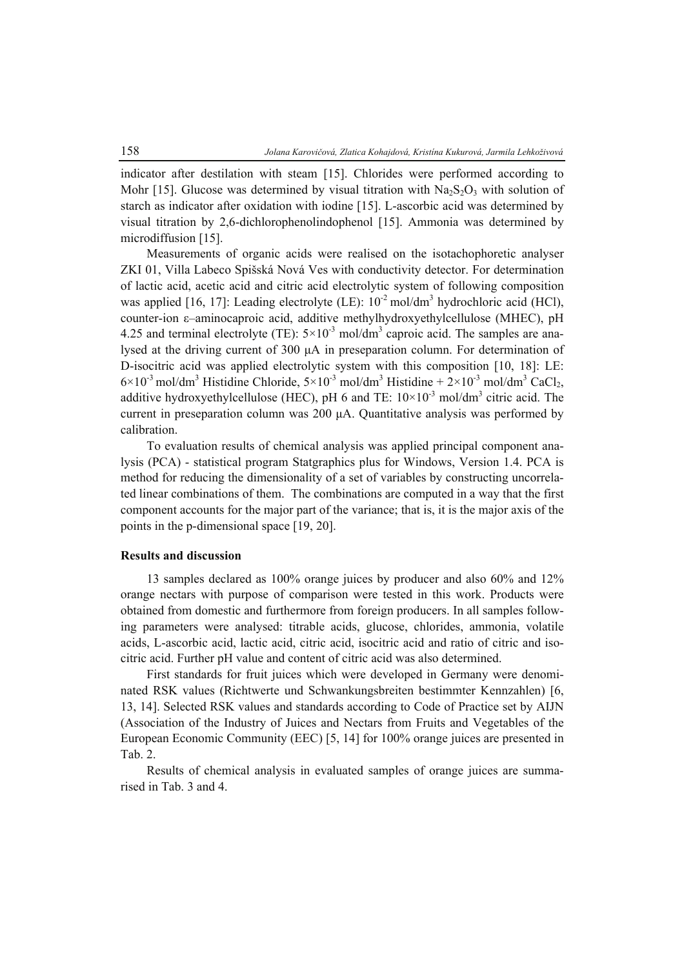indicator after destilation with steam [15]. Chlorides were performed according to Mohr [15]. Glucose was determined by visual titration with  $Na<sub>2</sub>S<sub>2</sub>O<sub>3</sub>$  with solution of starch as indicator after oxidation with iodine [15]. L-ascorbic acid was determined by visual titration by 2,6-dichlorophenolindophenol [15]. Ammonia was determined by microdiffusion [15].

Measurements of organic acids were realised on the isotachophoretic analyser ZKI 01, Villa Labeco Spišská Nová Ves with conductivity detector. For determination of lactic acid, acetic acid and citric acid electrolytic system of following composition was applied [16, 17]: Leading electrolyte (LE):  $10^{-2}$  mol/dm<sup>3</sup> hydrochloric acid (HCl), counter-ion ε–aminocaproic acid, additive methylhydroxyethylcellulose (MHEC), pH 4.25 and terminal electrolyte (TE):  $5 \times 10^{-3}$  mol/dm<sup>3</sup> caproic acid. The samples are analysed at the driving current of 300 μA in preseparation column. For determination of D-isocitric acid was applied electrolytic system with this composition [10, 18]: LE:  $6 \times 10^{-3}$  mol/dm<sup>3</sup> Histidine Chloride,  $5 \times 10^{-3}$  mol/dm<sup>3</sup> Histidine +  $2 \times 10^{-3}$  mol/dm<sup>3</sup> CaCl<sub>2</sub>, additive hydroxyethylcellulose (HEC), pH 6 and TE:  $10 \times 10^{-3}$  mol/dm<sup>3</sup> citric acid. The current in preseparation column was 200 μA. Quantitative analysis was performed by calibration.

To evaluation results of chemical analysis was applied principal component analysis (PCA) - statistical program Statgraphics plus for Windows, Version 1.4. PCA is method for reducing the dimensionality of a set of variables by constructing uncorrelated linear combinations of them. The combinations are computed in a way that the first component accounts for the major part of the variance; that is, it is the major axis of the points in the p-dimensional space [19, 20].

### **Results and discussion**

13 samples declared as 100% orange juices by producer and also 60% and 12% orange nectars with purpose of comparison were tested in this work. Products were obtained from domestic and furthermore from foreign producers. In all samples following parameters were analysed: titrable acids, glucose, chlorides, ammonia, volatile acids, L-ascorbic acid, lactic acid, citric acid, isocitric acid and ratio of citric and isocitric acid. Further pH value and content of citric acid was also determined.

First standards for fruit juices which were developed in Germany were denominated RSK values (Richtwerte und Schwankungsbreiten bestimmter Kennzahlen) [6, 13, 14]. Selected RSK values and standards according to Code of Practice set by AIJN (Association of the Industry of Juices and Nectars from Fruits and Vegetables of the European Economic Community (EEC) [5, 14] for 100% orange juices are presented in Tab. 2.

Results of chemical analysis in evaluated samples of orange juices are summarised in Tab. 3 and 4.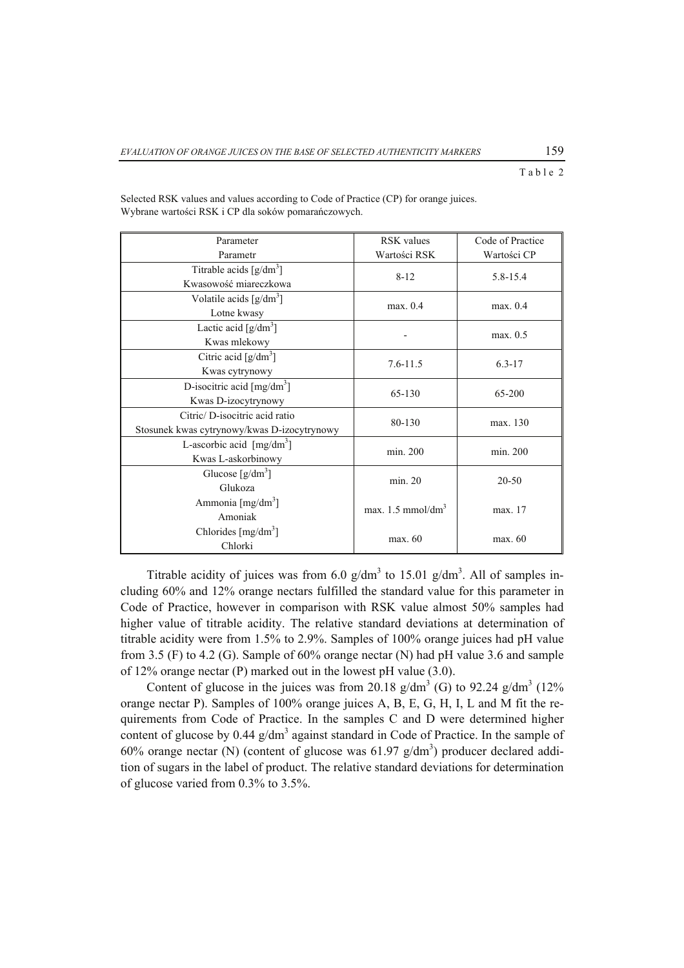## Table 2

| Parameter                                       | RSK values                   | Code of Practice |  |
|-------------------------------------------------|------------------------------|------------------|--|
| Parametr                                        | Wartości RSK                 | Wartości CP      |  |
| Titrable acids $\left[\frac{g}{dm^3}\right]$    | $8 - 12$                     | 5.8-15.4         |  |
| Kwasowość miareczkowa                           |                              |                  |  |
| Volatile acids $\left[\frac{g}{dm^3}\right]$    | max. 0.4                     | max. 0.4         |  |
| Lotne kwasy                                     |                              |                  |  |
| Lactic acid $\left[\frac{g}{dm^3}\right]$       |                              | max. 0.5         |  |
| Kwas mlekowy                                    |                              |                  |  |
| Citric acid $[g/dm^3]$                          | $7.6 - 11.5$                 | $6.3 - 17$       |  |
| Kwas cytrynowy                                  |                              |                  |  |
| D-isocitric acid $\left[\frac{mg}{dm^3}\right]$ | 65-130                       | 65-200           |  |
| Kwas D-izocytrynowy                             |                              |                  |  |
| Citric/D-isocitric acid ratio                   | 80-130                       | max. 130         |  |
| Stosunek kwas cytrynowy/kwas D-izocytrynowy     |                              |                  |  |
| L-ascorbic acid $[mg/dm3]$                      | min. 200                     | min. 200         |  |
| Kwas L-askorbinowy                              |                              |                  |  |
| Glucose $\lceil g/dm^3 \rceil$                  | min. 20                      | 20-50            |  |
| Glukoza                                         |                              |                  |  |
| Ammonia $[mg/dm3]$                              | max. $1.5 \text{ mmol/dm}^3$ | max. 17          |  |
| Amoniak                                         |                              |                  |  |
| Chlorides $\left[\text{mg/dm}^3\right]$         | max. 60                      | max. 60          |  |
| Chlorki                                         |                              |                  |  |

Selected RSK values and values according to Code of Practice (CP) for orange juices. Wybrane wartości RSK i CP dla soków pomarańczowych.

Titrable acidity of juices was from 6.0  $g/dm<sup>3</sup>$  to 15.01  $g/dm<sup>3</sup>$ . All of samples including 60% and 12% orange nectars fulfilled the standard value for this parameter in Code of Practice, however in comparison with RSK value almost 50% samples had higher value of titrable acidity. The relative standard deviations at determination of titrable acidity were from 1.5% to 2.9%. Samples of 100% orange juices had pH value from 3.5 (F) to 4.2 (G). Sample of 60% orange nectar (N) had pH value 3.6 and sample of 12% orange nectar (P) marked out in the lowest pH value (3.0).

Content of glucose in the juices was from 20.18  $g/dm^3$  (G) to 92.24  $g/dm^3$  (12% orange nectar P). Samples of 100% orange juices A, B, E, G, H, I, L and M fit the requirements from Code of Practice. In the samples C and D were determined higher content of glucose by  $0.44$  g/dm<sup>3</sup> against standard in Code of Practice. In the sample of 60% orange nectar (N) (content of glucose was  $61.97$  g/dm<sup>3</sup>) producer declared addition of sugars in the label of product. The relative standard deviations for determination of glucose varied from 0.3% to 3.5%.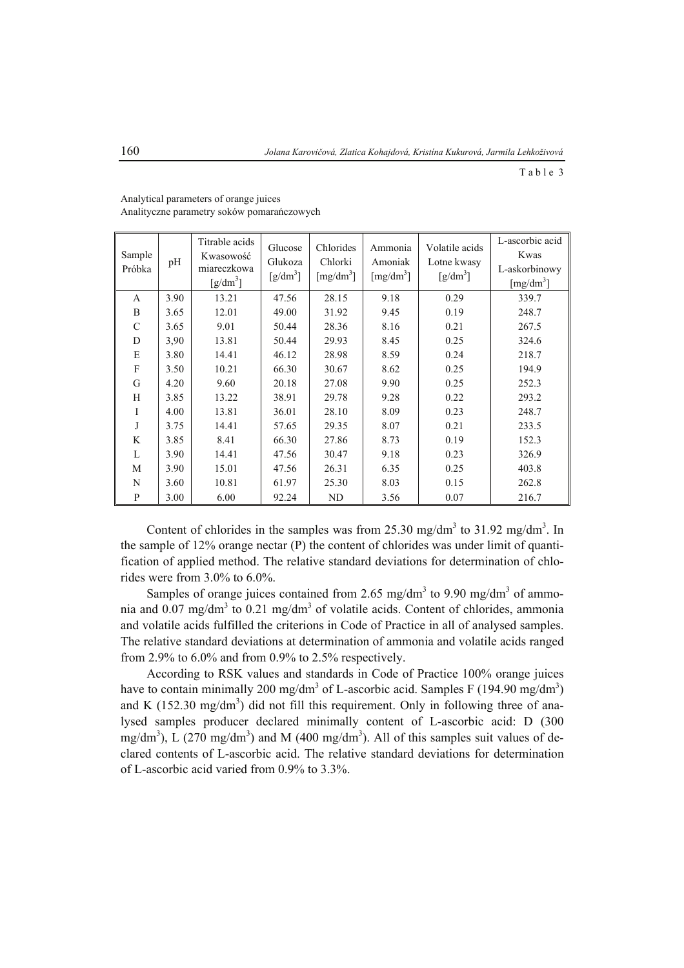Table 3

| Sample<br>Próbka | pH   | Titrable acids<br>Kwasowość<br>miareczkowa<br>$\left[\frac{g}{dm^3}\right]$ | Glucose<br>Glukoza<br>$\left[\frac{g}{dm^3}\right]$ | Chlorides<br>Chlorki<br>$\left[\text{mg/dm}^3\right]$ | Ammonia<br>Amoniak<br>[mg/dm <sup>3</sup> ] | Volatile acids<br>Lotne kwasy<br>$\left[\frac{g}{dm^3}\right]$ | L-ascorbic acid<br>Kwas<br>L-askorbinowy<br>[mg/dm <sup>3</sup> ] |
|------------------|------|-----------------------------------------------------------------------------|-----------------------------------------------------|-------------------------------------------------------|---------------------------------------------|----------------------------------------------------------------|-------------------------------------------------------------------|
| A                | 3.90 | 13.21                                                                       | 47.56                                               | 28.15                                                 | 9.18                                        | 0.29                                                           | 339.7                                                             |
| B                | 3.65 | 12.01                                                                       | 49.00                                               | 31.92                                                 | 9.45                                        | 0.19                                                           | 248.7                                                             |
| $\mathcal{C}$    | 3.65 | 9.01                                                                        | 50.44                                               | 28.36                                                 | 8.16                                        | 0.21                                                           | 267.5                                                             |
| D                | 3.90 | 13.81                                                                       | 50.44                                               | 29.93                                                 | 8.45                                        | 0.25                                                           | 324.6                                                             |
| E                | 3.80 | 14.41                                                                       | 46.12                                               | 28.98                                                 | 8.59                                        | 0.24                                                           | 218.7                                                             |
| $\mathbf F$      | 3.50 | 10.21                                                                       | 66.30                                               | 30.67                                                 | 8.62                                        | 0.25                                                           | 194.9                                                             |
| G                | 4.20 | 9.60                                                                        | 20.18                                               | 27.08                                                 | 9.90                                        | 0.25                                                           | 252.3                                                             |
| H                | 3.85 | 13.22                                                                       | 38.91                                               | 29.78                                                 | 9.28                                        | 0.22                                                           | 293.2                                                             |
| I                | 4.00 | 13.81                                                                       | 36.01                                               | 28.10                                                 | 8.09                                        | 0.23                                                           | 248.7                                                             |
| J                | 3.75 | 14.41                                                                       | 57.65                                               | 29.35                                                 | 8.07                                        | 0.21                                                           | 233.5                                                             |
| K                | 3.85 | 8.41                                                                        | 66.30                                               | 27.86                                                 | 8.73                                        | 0.19                                                           | 152.3                                                             |
| $\mathbf{L}$     | 3.90 | 14.41                                                                       | 47.56                                               | 30.47                                                 | 9.18                                        | 0.23                                                           | 326.9                                                             |
| M                | 3.90 | 15.01                                                                       | 47.56                                               | 26.31                                                 | 6.35                                        | 0.25                                                           | 403.8                                                             |
| N                | 3.60 | 10.81                                                                       | 61.97                                               | 25.30                                                 | 8.03                                        | 0.15                                                           | 262.8                                                             |
| P                | 3.00 | 6.00                                                                        | 92.24                                               | ND                                                    | 3.56                                        | 0.07                                                           | 216.7                                                             |

Analytical parameters of orange juices Analityczne parametry soków pomarańczowych

Content of chlorides in the samples was from  $25.30$  mg/dm<sup>3</sup> to  $31.92$  mg/dm<sup>3</sup>. In the sample of 12% orange nectar (P) the content of chlorides was under limit of quantification of applied method. The relative standard deviations for determination of chlorides were from 3.0% to 6.0%.

Samples of orange juices contained from 2.65 mg/dm<sup>3</sup> to 9.90 mg/dm<sup>3</sup> of ammonia and  $0.07 \text{ mg/dm}^3$  to  $0.21 \text{ mg/dm}^3$  of volatile acids. Content of chlorides, ammonia and volatile acids fulfilled the criterions in Code of Practice in all of analysed samples. The relative standard deviations at determination of ammonia and volatile acids ranged from 2.9% to 6.0% and from 0.9% to 2.5% respectively.

According to RSK values and standards in Code of Practice 100% orange juices have to contain minimally 200 mg/dm<sup>3</sup> of L-ascorbic acid. Samples F (194.90 mg/dm<sup>3</sup>) and K  $(152.30 \text{ mg/dm}^3)$  did not fill this requirement. Only in following three of analysed samples producer declared minimally content of L-ascorbic acid: D (300 mg/dm<sup>3</sup>), L (270 mg/dm<sup>3</sup>) and M (400 mg/dm<sup>3</sup>). All of this samples suit values of declared contents of L-ascorbic acid. The relative standard deviations for determination of L-ascorbic acid varied from 0.9% to 3.3%.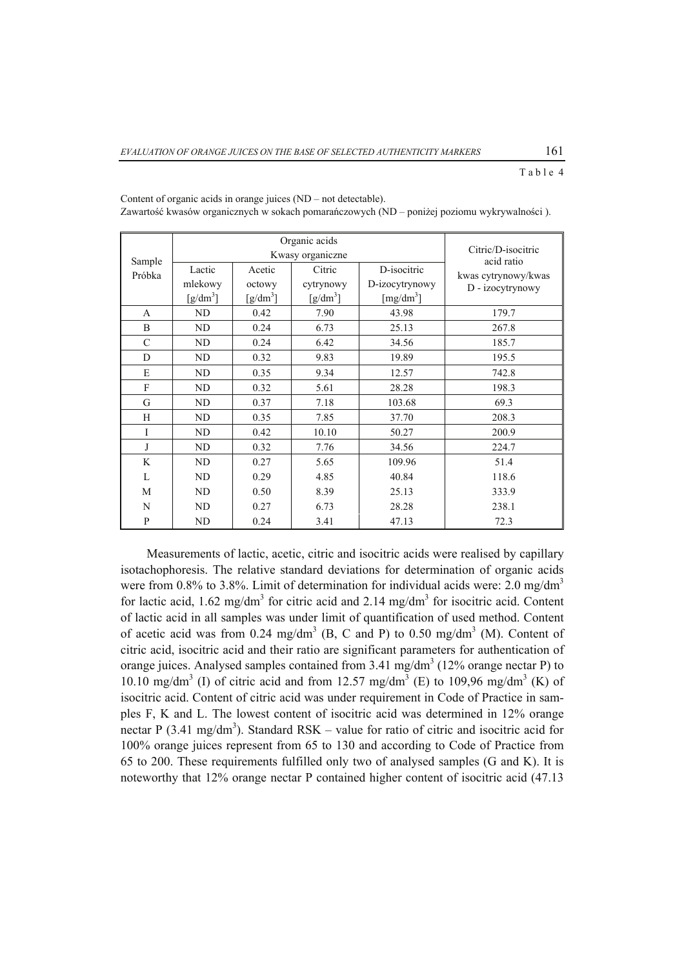Table 4

|                  |                               | Organic acids<br>Kwasy organiczne | Citric/D-isocitric |                       |                                         |
|------------------|-------------------------------|-----------------------------------|--------------------|-----------------------|-----------------------------------------|
| Sample<br>Próbka | Lactic                        | Acetic                            | Citric             | D-isocitric           | acid ratio                              |
|                  | mlekowy                       | octowy                            | cytrynowy          | D-izocytrynowy        | kwas cytrynowy/kwas<br>D - izocytrynowy |
|                  | $\left[\frac{g}{dm^3}\right]$ | [g/dm <sup>3</sup> ]              | $[g/dm^3]$         | [mg/dm <sup>3</sup> ] |                                         |
| A                | ND                            | 0.42                              | 7.90               | 43.98                 | 179.7                                   |
| B                | ND                            | 0.24                              | 6.73               | 25.13                 | 267.8                                   |
| $\mathcal{C}$    | ND                            | 0.24                              | 6.42               | 34.56                 | 185.7                                   |
| D                | ND                            | 0.32                              | 9.83               | 19.89                 | 195.5                                   |
| E                | ND                            | 0.35                              | 9.34               | 12.57                 | 742.8                                   |
| $\mathbf F$      | ND                            | 0.32                              | 5.61               | 28.28                 | 198.3                                   |
| G                | ND                            | 0.37                              | 7.18               | 103.68                | 69.3                                    |
| H                | ND                            | 0.35                              | 7.85               | 37.70                 | 208.3                                   |
| I                | ND                            | 0.42                              | 10.10              | 50.27                 | 200.9                                   |
| J                | ND                            | 0.32                              | 7.76               | 34.56                 | 224.7                                   |
| K                | ND                            | 0.27                              | 5.65               | 109.96                | 51.4                                    |
| L                | ND                            | 0.29                              | 4.85               | 40.84                 | 118.6                                   |
| M                | ND                            | 0.50                              | 8.39               | 25.13                 | 333.9                                   |
| N                | ND                            | 0.27                              | 6.73               | 28.28                 | 238.1                                   |
| P                | ND                            | 0.24                              | 3.41               | 47.13                 | 72.3                                    |

Content of organic acids in orange juices (ND – not detectable). Zawartość kwasów organicznych w sokach pomarańczowych (ND – poniżej poziomu wykrywalności ).

Measurements of lactic, acetic, citric and isocitric acids were realised by capillary isotachophoresis. The relative standard deviations for determination of organic acids were from 0.8% to 3.8%. Limit of determination for individual acids were: 2.0 mg/dm<sup>3</sup> for lactic acid,  $1.62 \text{ mg/dm}^3$  for citric acid and  $2.14 \text{ mg/dm}^3$  for isocitric acid. Content of lactic acid in all samples was under limit of quantification of used method. Content of acetic acid was from  $0.24 \text{ mg/dm}^3$  (B, C and P) to  $0.50 \text{ mg/dm}^3$  (M). Content of citric acid, isocitric acid and their ratio are significant parameters for authentication of orange juices. Analysed samples contained from  $3.41 \text{ mg/dm}^3$  (12% orange nectar P) to 10.10 mg/dm<sup>3</sup> (I) of citric acid and from 12.57 mg/dm<sup>3</sup> (E) to 109,96 mg/dm<sup>3</sup> (K) of isocitric acid. Content of citric acid was under requirement in Code of Practice in samples F, K and L. The lowest content of isocitric acid was determined in 12% orange nectar P (3.41 mg/dm<sup>3</sup>). Standard RSK – value for ratio of citric and isocitric acid for 100% orange juices represent from 65 to 130 and according to Code of Practice from 65 to 200. These requirements fulfilled only two of analysed samples (G and K). It is noteworthy that 12% orange nectar P contained higher content of isocitric acid (47.13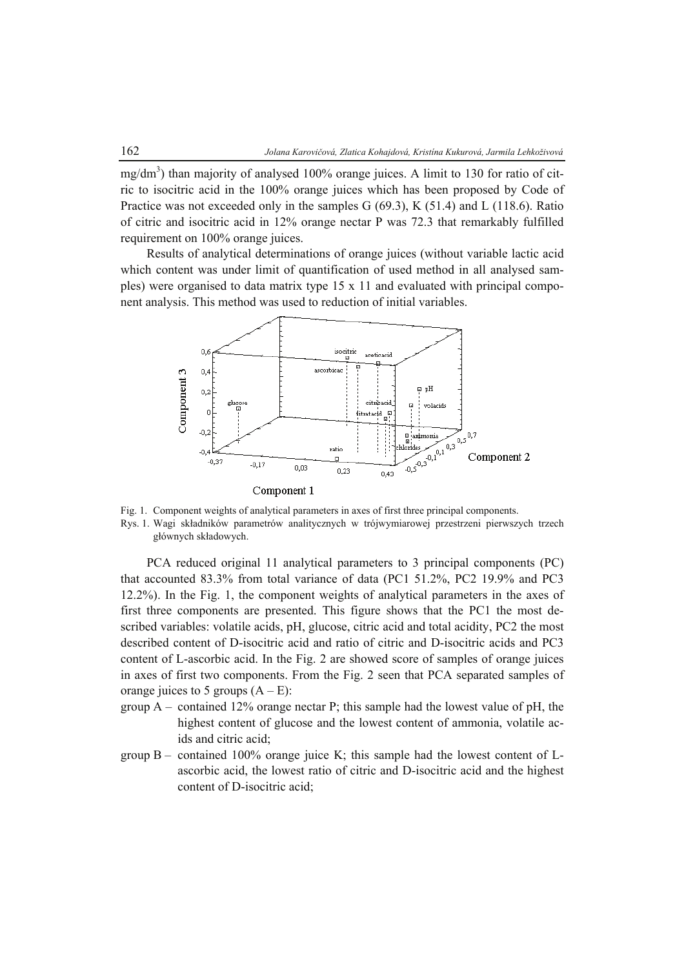mg/dm<sup>3</sup>) than majority of analysed 100% orange juices. A limit to 130 for ratio of citric to isocitric acid in the 100% orange juices which has been proposed by Code of Practice was not exceeded only in the samples G (69.3), K (51.4) and L (118.6). Ratio of citric and isocitric acid in 12% orange nectar P was 72.3 that remarkably fulfilled requirement on 100% orange juices.

Results of analytical determinations of orange juices (without variable lactic acid which content was under limit of quantification of used method in all analysed samples) were organised to data matrix type 15 x 11 and evaluated with principal component analysis. This method was used to reduction of initial variables.



Fig. 1. Component weights of analytical parameters in axes of first three principal components. Rys. 1. Wagi składników parametrów analitycznych w trójwymiarowej przestrzeni pierwszych trzech głównych składowych.

PCA reduced original 11 analytical parameters to 3 principal components (PC) that accounted 83.3% from total variance of data (PC1 51.2%, PC2 19.9% and PC3 12.2%). In the Fig. 1, the component weights of analytical parameters in the axes of first three components are presented. This figure shows that the PC1 the most described variables: volatile acids, pH, glucose, citric acid and total acidity, PC2 the most described content of D-isocitric acid and ratio of citric and D-isocitric acids and PC3 content of L-ascorbic acid. In the Fig. 2 are showed score of samples of orange juices in axes of first two components. From the Fig. 2 seen that PCA separated samples of orange juices to 5 groups  $(A - E)$ :

- group  $A$  contained 12% orange nectar P; this sample had the lowest value of pH, the highest content of glucose and the lowest content of ammonia, volatile acids and citric acid;
- group  $B -$  contained 100% orange juice K; this sample had the lowest content of Lascorbic acid, the lowest ratio of citric and D-isocitric acid and the highest content of D-isocitric acid;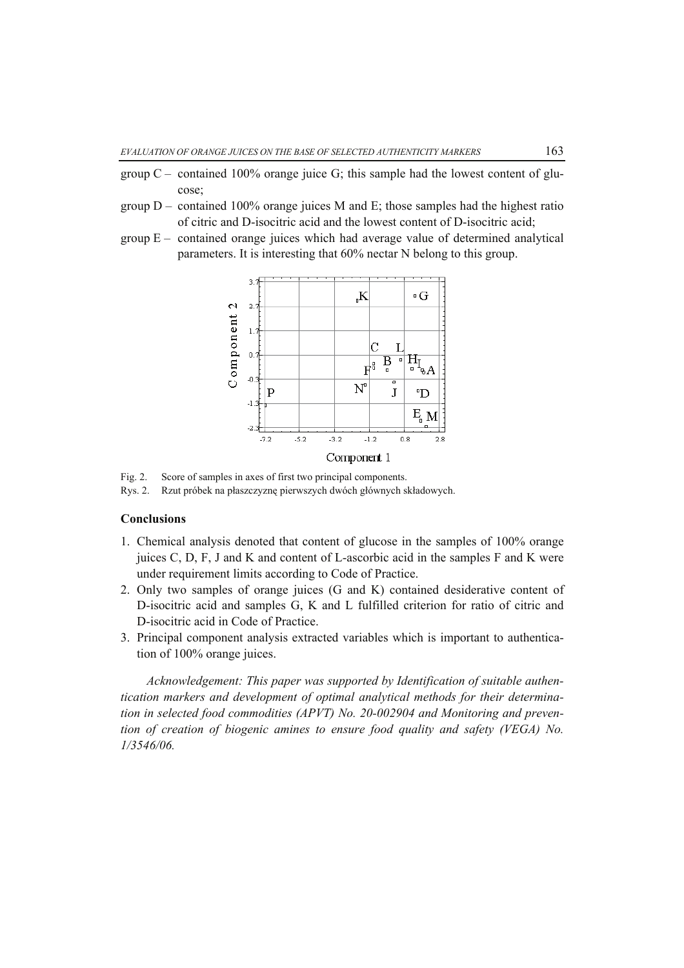- group  $C$  contained 100% orange juice G; this sample had the lowest content of glucose;
- group  $D$  contained 100% orange juices M and E; those samples had the highest ratio of citric and D-isocitric acid and the lowest content of D-isocitric acid;
- group  $E -$  contained orange juices which had average value of determined analytical parameters. It is interesting that 60% nectar N belong to this group.



Fig. 2. Score of samples in axes of first two principal components.

Rys. 2. Rzut próbek na płaszczyznę pierwszych dwóch głównych składowych.

#### **Conclusions**

- 1. Chemical analysis denoted that content of glucose in the samples of 100% orange juices C, D, F, J and K and content of L-ascorbic acid in the samples F and K were under requirement limits according to Code of Practice.
- 2. Only two samples of orange juices (G and K) contained desiderative content of D-isocitric acid and samples G, K and L fulfilled criterion for ratio of citric and D-isocitric acid in Code of Practice.
- 3. Principal component analysis extracted variables which is important to authentication of 100% orange juices.

*Acknowledgement: This paper was supported by Identification of suitable authentication markers and development of optimal analytical methods for their determination in selected food commodities (APVT) No. 20-002904 and Monitoring and prevention of creation of biogenic amines to ensure food quality and safety (VEGA) No. 1/3546/06.*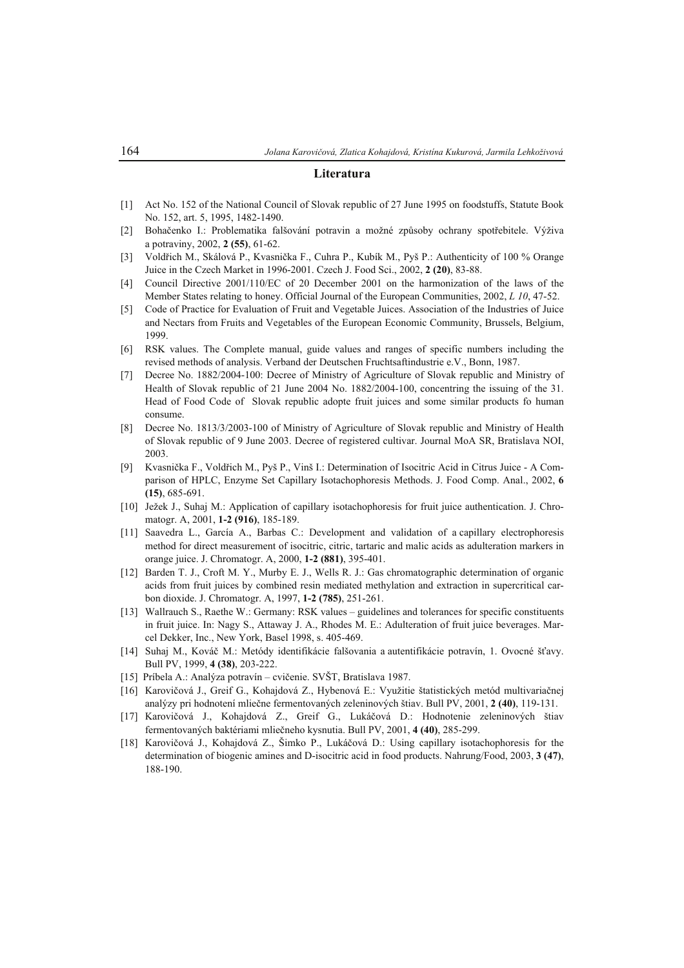#### **Literatura**

- [1] Act No. 152 of the National Council of Slovak republic of 27 June 1995 on foodstuffs, Statute Book No. 152, art. 5, 1995, 1482-1490.
- [2] Bohačenko I.: Problematika falšování potravin a možné způsoby ochrany spotřebitele. Výživa a potraviny, 2002, **2 (55)**, 61-62.
- [3] Voldřich M., Skálová P., Kvasnička F., Cuhra P., Kubík M., Pyš P.: Authenticity of 100 % Orange Juice in the Czech Market in 1996-2001. Czech J. Food Sci., 2002, **2 (20)**, 83-88.
- [4] Council Directive 2001/110/EC of 20 December 2001 on the harmonization of the laws of the Member States relating to honey. Official Journal of the European Communities, 2002, *L 10*, 47-52.
- [5] Code of Practice for Evaluation of Fruit and Vegetable Juices. Association of the Industries of Juice and Nectars from Fruits and Vegetables of the European Economic Community, Brussels, Belgium, 1999.
- [6] RSK values. The Complete manual, guide values and ranges of specific numbers including the revised methods of analysis. Verband der Deutschen Fruchtsaftindustrie e.V., Bonn, 1987.
- [7] Decree No. 1882/2004-100: Decree of Ministry of Agriculture of Slovak republic and Ministry of Health of Slovak republic of 21 June 2004 No. 1882/2004-100, concentring the issuing of the 31. Head of Food Code of Slovak republic adopte fruit juices and some similar products fo human consume.
- [8] Decree No. 1813/3/2003-100 of Ministry of Agriculture of Slovak republic and Ministry of Health of Slovak republic of 9 June 2003. Decree of registered cultivar. Journal MoA SR, Bratislava NOI, 2003.
- [9] Kvasnička F., Voldřich M., Pyš P., Vinš I.: Determination of Isocitric Acid in Citrus Juice A Comparison of HPLC, Enzyme Set Capillary Isotachophoresis Methods. J. Food Comp. Anal., 2002, **6 (15)**, 685-691.
- [10] Ježek J., Suhaj M.: Application of capillary isotachophoresis for fruit juice authentication. J. Chromatogr. A, 2001, **1-2 (916)**, 185-189.
- [11] Saavedra L., García A., Barbas C.: Development and validation of a capillary electrophoresis method for direct measurement of isocitric, citric, tartaric and malic acids as adulteration markers in orange juice. J. Chromatogr. A, 2000, **1-2 (881)**, 395-401.
- [12] Barden T. J., Croft M. Y., Murby E. J., Wells R. J.: Gas chromatographic determination of organic acids from fruit juices by combined resin mediated methylation and extraction in supercritical carbon dioxide. J. Chromatogr. A, 1997, **1-2 (785)**, 251-261.
- [13] Wallrauch S., Raethe W.: Germany: RSK values guidelines and tolerances for specific constituents in fruit juice. In: Nagy S., Attaway J. A., Rhodes M. E.: Adulteration of fruit juice beverages. Marcel Dekker, Inc., New York, Basel 1998, s. 405-469.
- [14] Suhaj M., Kováč M.: Metódy identifikácie falšovania a autentifikácie potravín, 1. Ovocné šťavy. Bull PV, 1999, **4 (38)**, 203-222.
- [15] Príbela A.: Analýza potravín cvičenie. SVŠT, Bratislava 1987.
- [16] Karovičová J., Greif G., Kohajdová Z., Hybenová E.: Využitie štatistických metód multivariačnej analýzy pri hodnotení mliečne fermentovaných zeleninových štiav. Bull PV, 2001, **2 (40)**, 119-131.
- [17] Karovičová J., Kohajdová Z., Greif G., Lukáčová D.: Hodnotenie zeleninových štiav fermentovaných baktériami mliečneho kysnutia. Bull PV, 2001, **4 (40)**, 285-299.
- [18] Karovičová J., Kohajdová Z., Šimko P., Lukáčová D.: Using capillary isotachophoresis for the determination of biogenic amines and D-isocitric acid in food products. Nahrung/Food, 2003, **3 (47)**, 188-190.